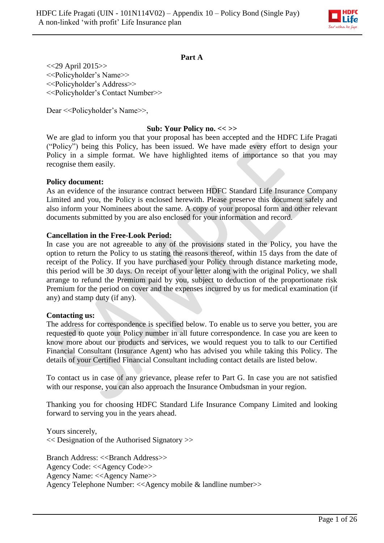

## **Part A**

<<29 April 2015>> <<Policyholder's Name>> <<Policyholder's Address>> <<Policyholder's Contact Number>>

Dear << Policyholder's Name >>,

#### **Sub: Your Policy no. << >>**

We are glad to inform you that your proposal has been accepted and the HDFC Life Pragati ("Policy") being this Policy, has been issued. We have made every effort to design your Policy in a simple format. We have highlighted items of importance so that you may recognise them easily.

#### **Policy document:**

As an evidence of the insurance contract between HDFC Standard Life Insurance Company Limited and you, the Policy is enclosed herewith. Please preserve this document safely and also inform your Nominees about the same. A copy of your proposal form and other relevant documents submitted by you are also enclosed for your information and record.

#### **Cancellation in the Free-Look Period:**

In case you are not agreeable to any of the provisions stated in the Policy, you have the option to return the Policy to us stating the reasons thereof, within 15 days from the date of receipt of the Policy. If you have purchased your Policy through distance marketing mode, this period will be 30 days. On receipt of your letter along with the original Policy, we shall arrange to refund the Premium paid by you, subject to deduction of the proportionate risk Premium for the period on cover and the expenses incurred by us for medical examination (if any) and stamp duty (if any).

#### **Contacting us:**

The address for correspondence is specified below. To enable us to serve you better, you are requested to quote your Policy number in all future correspondence. In case you are keen to know more about our products and services, we would request you to talk to our Certified Financial Consultant (Insurance Agent) who has advised you while taking this Policy. The details of your Certified Financial Consultant including contact details are listed below.

To contact us in case of any grievance, please refer to Part G. In case you are not satisfied with our response, you can also approach the Insurance Ombudsman in your region.

Thanking you for choosing HDFC Standard Life Insurance Company Limited and looking forward to serving you in the years ahead.

Yours sincerely, << Designation of the Authorised Signatory >>

Branch Address: <<Br/>SBranch Address>> Agency Code: <<Agency Code>> Agency Name: <<Agency Name>> Agency Telephone Number: <<Agency mobile & landline number>>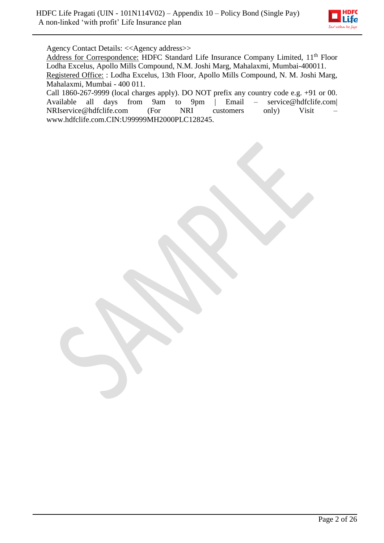

Agency Contact Details: <<Agency address>>

Address for Correspondence: HDFC Standard Life Insurance Company Limited, 11<sup>th</sup> Floor Lodha Excelus, Apollo Mills Compound, N.M. Joshi Marg, Mahalaxmi, Mumbai-400011. Registered Office: : Lodha Excelus, 13th Floor, Apollo Mills Compound, N. M. Joshi Marg, Mahalaxmi, Mumbai - 400 011.

Call 1860-267-9999 (local charges apply). DO NOT prefix any country code e.g. +91 or 00. Available all days from 9am to 9pm | Email – service@hdfclife.com| NRIservice@hdfclife.com (For NRI customers only) Visit – www.hdfclife.com.CIN:U99999MH2000PLC128245.

Page 2 of 26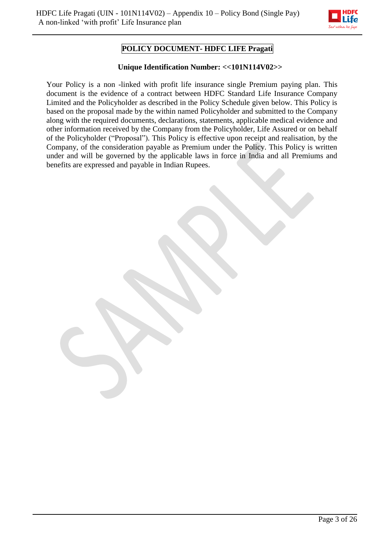

# **POLICY DOCUMENT- HDFC LIFE Pragati**

## **Unique Identification Number: <<101N114V02>>**

Your Policy is a non -linked with profit life insurance single Premium paying plan. This document is the evidence of a contract between HDFC Standard Life Insurance Company Limited and the Policyholder as described in the Policy Schedule given below. This Policy is based on the proposal made by the within named Policyholder and submitted to the Company along with the required documents, declarations, statements, applicable medical evidence and other information received by the Company from the Policyholder, Life Assured or on behalf of the Policyholder ("Proposal"). This Policy is effective upon receipt and realisation, by the Company, of the consideration payable as Premium under the Policy. This Policy is written under and will be governed by the applicable laws in force in India and all Premiums and benefits are expressed and payable in Indian Rupees.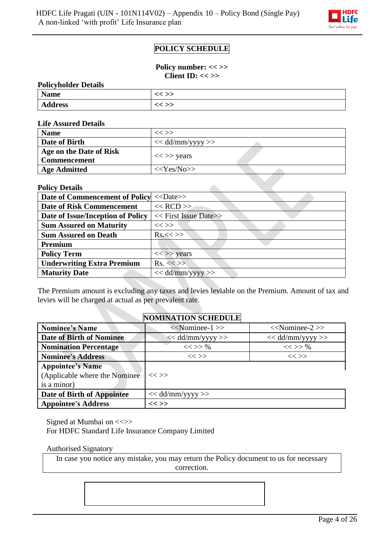

# **POLICY SCHEDULE**

**Policy number: << >> Client ID: << >>**

| <b>Policyholder Details</b> |         |  |
|-----------------------------|---------|--|
| <b>Name</b>                 | $<<$ >> |  |
| <b>Address</b>              | << >>   |  |

**Life Assured Details**

| <b>Name</b>                                    | $<<$ $>>$                               |
|------------------------------------------------|-----------------------------------------|
| Date of Birth                                  | $<<$ dd/mm/yyyy $>>$                    |
| Age on the Date of Risk<br><b>Commencement</b> | $\langle \langle \rangle \rangle$ years |
| <b>Age Admitted</b>                            | $<<\text{Yes/N0}>>$                     |

 $\mathcal{L}_{\mathcal{A}}$ 

#### **Policy Details**

| <b>Date of Commencement of Policy &lt;&lt; Date&gt;&gt;</b> |                       |
|-------------------------------------------------------------|-----------------------|
| <b>Date of Risk Commencement</b>                            | $<<$ RCD $>>$         |
| Date of Issue/Inception of Policy                           | << First Issue Date>> |
| <b>Sum Assured on Maturity</b>                              | $<<$ >>               |
| <b>Sum Assured on Death</b>                                 | $Rs.<\ll\gg$          |
| Premium                                                     |                       |
| <b>Policy Term</b>                                          | $<<$ >> years         |
| <b>Underwriting Extra Premium</b>                           | $Rs. \ll>>$           |
| <b>Maturity Date</b>                                        | $<<$ dd/mm/yyyy $>>$  |

The Premium amount is excluding any taxes and levies leviable on the Premium. Amount of tax and levies will be charged at actual as per prevalent rate.

## **NOMINATION SCHEDULE**

| <b>Nominee's Name</b>           | $<<$ Nominee-1 $>>$ | $<<$ Nominee-2 $>>$ |
|---------------------------------|---------------------|---------------------|
| <b>Date of Birth of Nominee</b> | $<<$ dd/mm/yyyy >>  | $<<$ dd/mm/yyyy >>  |
| <b>Nomination Percentage</b>    | $<<$ >> %           | $<<$ >> %           |
| <b>Nominee's Address</b>        | $<<$ >>             | $<<$ $>>$           |
| <b>Appointee's Name</b>         |                     |                     |
| (Applicable where the Nominee)  | $<<$ >>             |                     |
| is a minor)                     |                     |                     |
| Date of Birth of Appointee      | $<<$ dd/mm/yyyy >>  |                     |
| <b>Appointee's Address</b>      | $<<$ $>>$           |                     |

Signed at Mumbai on <<>> For HDFC Standard Life Insurance Company Limited

Authorised Signatory

In case you notice any mistake, you may return the Policy document to us for necessary correction.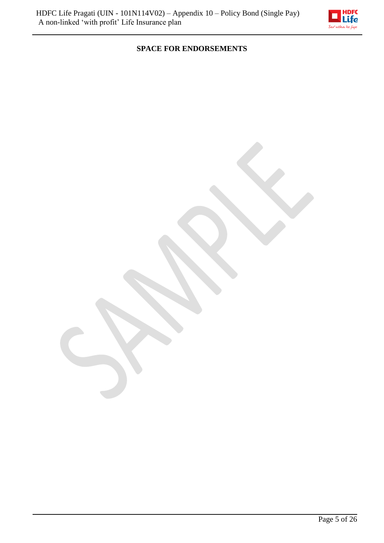

# **SPACE FOR ENDORSEMENTS**

Page 5 of 26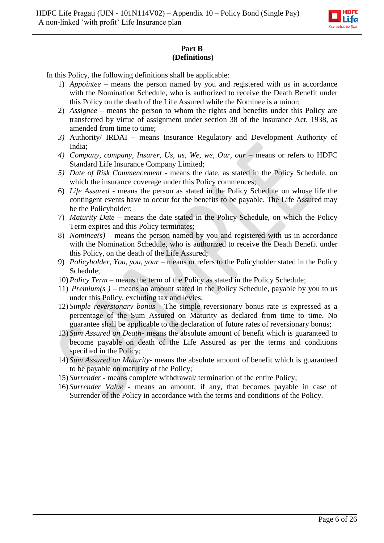

## **Part B (Definitions)**

In this Policy, the following definitions shall be applicable:

- 1) *Appointee –* means the person named by you and registered with us in accordance with the Nomination Schedule, who is authorized to receive the Death Benefit under this Policy on the death of the Life Assured while the Nominee is a minor;
- 2) *Assignee*  means the person to whom the rights and benefits under this Policy are transferred by virtue of assignment under section 38 of the Insurance Act, 1938, as amended from time to time;
- *3)* Authority/ IRDAI means Insurance Regulatory and Development Authority of India;
- 4) *Company, company, Insurer, Us, us, We, we, Our, our means or refers to HDFC* Standard Life Insurance Company Limited;
- *5) Date of Risk Commencement -* means the date, as stated in the Policy Schedule, on which the insurance coverage under this Policy commences;
- 6) *Life Assured* means the person as stated in the Policy Schedule on whose life the contingent events have to occur for the benefits to be payable. The Life Assured may be the Policyholder;
- 7) *Maturity Date* means the date stated in the Policy Schedule, on which the Policy Term expires and this Policy terminates;
- 8) *Nominee(s)* means the person named by you and registered with us in accordance with the Nomination Schedule, who is authorized to receive the Death Benefit under this Policy, on the death of the Life Assured;
- 9) *Policyholder, You, you, your* means or refers to the Policyholder stated in the Policy Schedule;
- 10) *Policy Term –* means the term of the Policy as stated in the Policy Schedule;
- 11) *Premium(s )* means an amount stated in the Policy Schedule, payable by you to us under this Policy, excluding tax and levies;
- 12) *Simple reversionary bonus -* The simple reversionary bonus rate is expressed as a percentage of the Sum Assured on Maturity as declared from time to time. No guarantee shall be applicable to the declaration of future rates of reversionary bonus;
- 13) *Sum Assured on Death* means the absolute amount of benefit which is guaranteed to become payable on death of the Life Assured as per the terms and conditions specified in the Policy;
- 14) *Sum Assured on Maturity* means the absolute amount of benefit which is guaranteed to be payable on maturity of the Policy;
- 15) *Surrender* means complete withdrawal/ termination of the entire Policy;
- 16) *Surrender Value* means an amount, if any, that becomes payable in case of Surrender of the Policy in accordance with the terms and conditions of the Policy.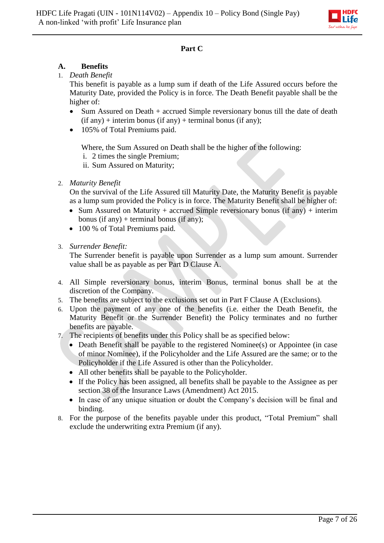

## **Part C**

## **A. Benefits**

1. *Death Benefit*

This benefit is payable as a lump sum if death of the Life Assured occurs before the Maturity Date, provided the Policy is in force. The Death Benefit payable shall be the higher of:

- Sum Assured on Death + accrued Simple reversionary bonus till the date of death  $(if any) + interim bonus (if any) + terminal bonus (if any);$
- 105% of Total Premiums paid.

Where, the Sum Assured on Death shall be the higher of the following:

- i. 2 times the single Premium;
- ii. Sum Assured on Maturity;

## 2. *Maturity Benefit*

On the survival of the Life Assured till Maturity Date, the Maturity Benefit is payable as a lump sum provided the Policy is in force. The Maturity Benefit shall be higher of:

- Sum Assured on Maturity + accrued Simple reversionary bonus (if any) + interim bonus (if any) + terminal bonus (if any);
- 100 % of Total Premiums paid.
- 3. *Surrender Benefit:*

The Surrender benefit is payable upon Surrender as a lump sum amount. Surrender value shall be as payable as per Part D Clause A.

- 4. All Simple reversionary bonus, interim Bonus, terminal bonus shall be at the discretion of the Company.
- 5. The benefits are subject to the exclusions set out in Part F Clause A (Exclusions).
- 6. Upon the payment of any one of the benefits (i.e. either the Death Benefit, the Maturity Benefit or the Surrender Benefit) the Policy terminates and no further benefits are payable.
- 7. The recipients of benefits under this Policy shall be as specified below:
	- Death Benefit shall be payable to the registered Nominee(s) or Appointee (in case of minor Nominee), if the Policyholder and the Life Assured are the same; or to the Policyholder if the Life Assured is other than the Policyholder.
	- All other benefits shall be payable to the Policyholder.
	- If the Policy has been assigned, all benefits shall be payable to the Assignee as per section 38 of the Insurance Laws (Amendment) Act 2015.
	- In case of any unique situation or doubt the Company's decision will be final and binding.
- 8. For the purpose of the benefits payable under this product, "Total Premium" shall exclude the underwriting extra Premium (if any).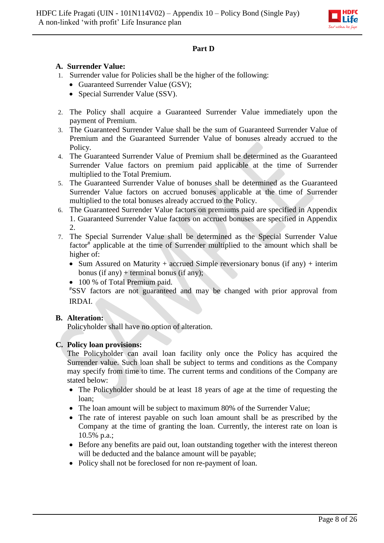

## **Part D**

## **A. Surrender Value:**

- 1. Surrender value for Policies shall be the higher of the following:
	- Guaranteed Surrender Value (GSV);
	- Special Surrender Value (SSV).
- 2. The Policy shall acquire a Guaranteed Surrender Value immediately upon the payment of Premium.
- 3. The Guaranteed Surrender Value shall be the sum of Guaranteed Surrender Value of Premium and the Guaranteed Surrender Value of bonuses already accrued to the Policy.
- 4. The Guaranteed Surrender Value of Premium shall be determined as the Guaranteed Surrender Value factors on premium paid applicable at the time of Surrender multiplied to the Total Premium.
- 5. The Guaranteed Surrender Value of bonuses shall be determined as the Guaranteed Surrender Value factors on accrued bonuses applicable at the time of Surrender multiplied to the total bonuses already accrued to the Policy.
- 6. The Guaranteed Surrender Value factors on premiums paid are specified in Appendix 1. Guaranteed Surrender Value factors on accrued bonuses are specified in Appendix 2.
- 7. The Special Surrender Value shall be determined as the Special Surrender Value factor<sup>#</sup> applicable at the time of Surrender multiplied to the amount which shall be higher of:
	- Sum Assured on Maturity + accrued Simple reversionary bonus (if any) + interim bonus (if any) + terminal bonus (if any);
	- 100 % of Total Premium paid.

#SSV factors are not guaranteed and may be changed with prior approval from IRDAI.

## **B. Alteration:**

Policyholder shall have no option of alteration.

## **C. Policy loan provisions:**

The Policyholder can avail loan facility only once the Policy has acquired the Surrender value. Such loan shall be subject to terms and conditions as the Company may specify from time to time. The current terms and conditions of the Company are stated below:

- The Policyholder should be at least 18 years of age at the time of requesting the loan;
- The loan amount will be subject to maximum 80% of the Surrender Value;
- The rate of interest payable on such loan amount shall be as prescribed by the Company at the time of granting the loan. Currently, the interest rate on loan is 10.5% p.a.;
- Before any benefits are paid out, loan outstanding together with the interest thereon will be deducted and the balance amount will be payable;
- Policy shall not be foreclosed for non re-payment of loan.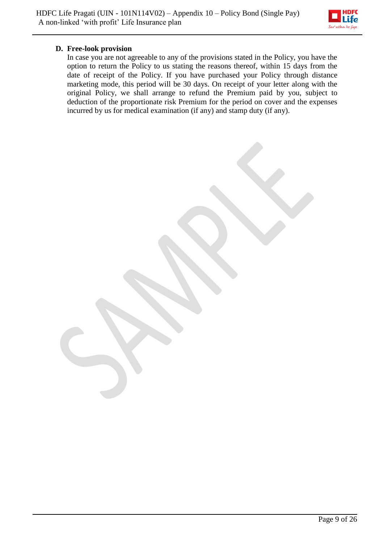

## **D. Free-look provision**

In case you are not agreeable to any of the provisions stated in the Policy, you have the option to return the Policy to us stating the reasons thereof, within 15 days from the date of receipt of the Policy. If you have purchased your Policy through distance marketing mode, this period will be 30 days. On receipt of your letter along with the original Policy, we shall arrange to refund the Premium paid by you, subject to deduction of the proportionate risk Premium for the period on cover and the expenses incurred by us for medical examination (if any) and stamp duty (if any).

Page 9 of 26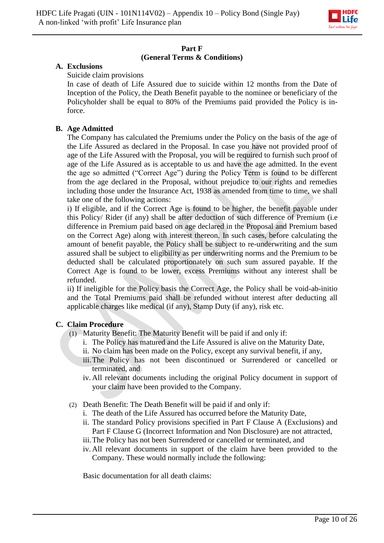

#### **Part F (General Terms & Conditions)**

## **A. Exclusions**

## Suicide claim provisions

In case of death of Life Assured due to suicide within 12 months from the Date of Inception of the Policy, the Death Benefit payable to the nominee or beneficiary of the Policyholder shall be equal to 80% of the Premiums paid provided the Policy is inforce.

## **B. Age Admitted**

The Company has calculated the Premiums under the Policy on the basis of the age of the Life Assured as declared in the Proposal. In case you have not provided proof of age of the Life Assured with the Proposal, you will be required to furnish such proof of age of the Life Assured as is acceptable to us and have the age admitted. In the event the age so admitted ("Correct Age") during the Policy Term is found to be different from the age declared in the Proposal, without prejudice to our rights and remedies including those under the Insurance Act, 1938 as amended from time to time, we shall take one of the following actions:

i) If eligible, and if the Correct Age is found to be higher, the benefit payable under this Policy/ Rider (if any) shall be after deduction of such difference of Premium (i.e difference in Premium paid based on age declared in the Proposal and Premium based on the Correct Age) along with interest thereon. In such cases, before calculating the amount of benefit payable, the Policy shall be subject to re-underwriting and the sum assured shall be subject to eligibility as per underwriting norms and the Premium to be deducted shall be calculated proportionately on such sum assured payable. If the Correct Age is found to be lower, excess Premiums without any interest shall be refunded.

ii) If ineligible for the Policy basis the Correct Age, the Policy shall be void-ab-initio and the Total Premiums paid shall be refunded without interest after deducting all applicable charges like medical (if any), Stamp Duty (if any), risk etc.

## **C. Claim Procedure**

- (1) Maturity Benefit: The Maturity Benefit will be paid if and only if:
	- i. The Policy has matured and the Life Assured is alive on the Maturity Date,
	- ii. No claim has been made on the Policy, except any survival benefit, if any,
	- iii.The Policy has not been discontinued or Surrendered or cancelled or terminated, and
	- iv. All relevant documents including the original Policy document in support of your claim have been provided to the Company.
- (2) Death Benefit: The Death Benefit will be paid if and only if:
	- i. The death of the Life Assured has occurred before the Maturity Date,
	- ii. The standard Policy provisions specified in Part F Clause A (Exclusions) and Part F Clause G (Incorrect Information and Non Disclosure) are not attracted,
	- iii.The Policy has not been Surrendered or cancelled or terminated, and
	- iv. All relevant documents in support of the claim have been provided to the Company. These would normally include the following:

Basic documentation for all death claims: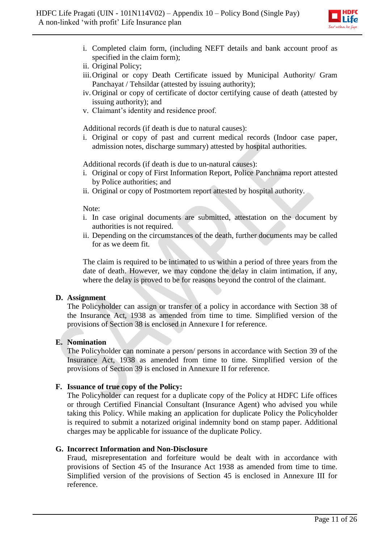

- i. Completed claim form, (including NEFT details and bank account proof as specified in the claim form);
- ii. Original Policy;
- iii.Original or copy Death Certificate issued by Municipal Authority/ Gram Panchayat / Tehsildar (attested by issuing authority);
- iv. Original or copy of certificate of doctor certifying cause of death (attested by issuing authority); and
- v. Claimant's identity and residence proof.

Additional records (if death is due to natural causes):

i. Original or copy of past and current medical records (Indoor case paper, admission notes, discharge summary) attested by hospital authorities.

Additional records (if death is due to un-natural causes):

- i. Original or copy of First Information Report, Police Panchnama report attested by Police authorities; and
- ii. Original or copy of Postmortem report attested by hospital authority.

#### Note:

- i. In case original documents are submitted, attestation on the document by authorities is not required.
- ii. Depending on the circumstances of the death, further documents may be called for as we deem fit.

The claim is required to be intimated to us within a period of three years from the date of death. However, we may condone the delay in claim intimation, if any, where the delay is proved to be for reasons beyond the control of the claimant.

#### **D. Assignment**

The Policyholder can assign or transfer of a policy in accordance with Section 38 of the Insurance Act, 1938 as amended from time to time. Simplified version of the provisions of Section 38 is enclosed in Annexure I for reference.

#### **E. Nomination**

The Policyholder can nominate a person/ persons in accordance with Section 39 of the Insurance Act, 1938 as amended from time to time. Simplified version of the provisions of Section 39 is enclosed in Annexure II for reference.

#### **F. Issuance of true copy of the Policy:**

The Policyholder can request for a duplicate copy of the Policy at HDFC Life offices or through Certified Financial Consultant (Insurance Agent) who advised you while taking this Policy. While making an application for duplicate Policy the Policyholder is required to submit a notarized original indemnity bond on stamp paper. Additional charges may be applicable for issuance of the duplicate Policy.

#### **G. Incorrect Information and Non-Disclosure**

Fraud, misrepresentation and forfeiture would be dealt with in accordance with provisions of Section 45 of the Insurance Act 1938 as amended from time to time. Simplified version of the provisions of Section 45 is enclosed in Annexure III for reference.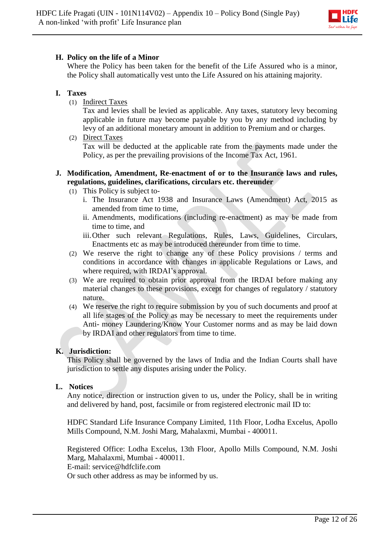

## **H. Policy on the life of a Minor**

Where the Policy has been taken for the benefit of the Life Assured who is a minor, the Policy shall automatically vest unto the Life Assured on his attaining majority.

## **I. Taxes**

(1) Indirect Taxes

Tax and levies shall be levied as applicable. Any taxes, statutory levy becoming applicable in future may become payable by you by any method including by levy of an additional monetary amount in addition to Premium and or charges.

(2) Direct Taxes Tax will be deducted at the applicable rate from the payments made under the Policy, as per the prevailing provisions of the Income Tax Act, 1961.

## **J. Modification, Amendment, Re-enactment of or to the Insurance laws and rules, regulations, guidelines, clarifications, circulars etc. thereunder**

- (1) This Policy is subject to
	- i. The Insurance Act 1938 and Insurance Laws (Amendment) Act, 2015 as amended from time to time,
	- ii. Amendments, modifications (including re-enactment) as may be made from time to time, and
	- iii.Other such relevant Regulations, Rules, Laws, Guidelines, Circulars, Enactments etc as may be introduced thereunder from time to time.
- (2) We reserve the right to change any of these Policy provisions / terms and conditions in accordance with changes in applicable Regulations or Laws, and where required, with IRDAI's approval.
- (3) We are required to obtain prior approval from the IRDAI before making any material changes to these provisions, except for changes of regulatory / statutory nature.
- (4) We reserve the right to require submission by you of such documents and proof at all life stages of the Policy as may be necessary to meet the requirements under Anti- money Laundering/Know Your Customer norms and as may be laid down by IRDAI and other regulators from time to time.

## **K. Jurisdiction:**

This Policy shall be governed by the laws of India and the Indian Courts shall have jurisdiction to settle any disputes arising under the Policy.

## **L. Notices**

Any notice, direction or instruction given to us, under the Policy, shall be in writing and delivered by hand, post, facsimile or from registered electronic mail ID to:

HDFC Standard Life Insurance Company Limited, 11th Floor, Lodha Excelus, Apollo Mills Compound, N.M. Joshi Marg, Mahalaxmi, Mumbai - 400011.

Registered Office: Lodha Excelus, 13th Floor, Apollo Mills Compound, N.M. Joshi Marg, Mahalaxmi, Mumbai - 400011.

E-mail: service@hdfclife.com

Or such other address as may be informed by us.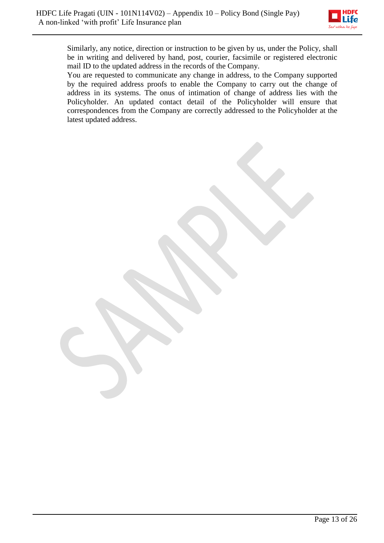

Similarly, any notice, direction or instruction to be given by us, under the Policy, shall be in writing and delivered by hand, post, courier, facsimile or registered electronic mail ID to the updated address in the records of the Company.

You are requested to communicate any change in address, to the Company supported by the required address proofs to enable the Company to carry out the change of address in its systems. The onus of intimation of change of address lies with the Policyholder. An updated contact detail of the Policyholder will ensure that correspondences from the Company are correctly addressed to the Policyholder at the latest updated address.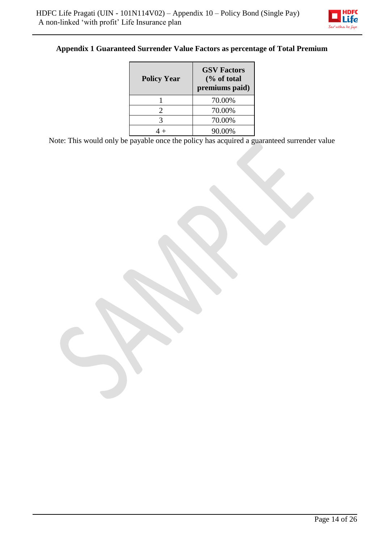

# **Appendix 1 Guaranteed Surrender Value Factors as percentage of Total Premium**

| <b>Policy Year</b> | <b>GSV Factors</b><br>$\frac{6}{6}$ of total<br>premiums paid) |
|--------------------|----------------------------------------------------------------|
|                    | 70.00%                                                         |
| 2                  | 70.00%                                                         |
| 3                  | 70.00%                                                         |
|                    | 90.00%                                                         |

Note: This would only be payable once the policy has acquired a guaranteed surrender value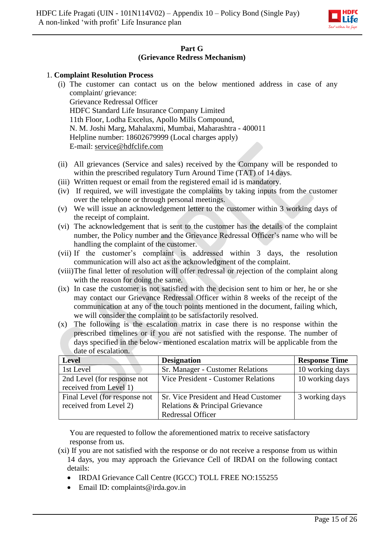

## **Part G (Grievance Redress Mechanism)**

#### 1. **Complaint Resolution Process**

- (i) The customer can contact us on the below mentioned address in case of any complaint/ grievance:
	- Grievance Redressal Officer HDFC Standard Life Insurance Company Limited 11th Floor, Lodha Excelus, Apollo Mills Compound, N. M. Joshi Marg, Mahalaxmi, Mumbai, Maharashtra - 400011 Helpline number: 18602679999 (Local charges apply) E-mail: [service@hdfclife.com](mailto:service@hdfclife.com)
- (ii) All grievances (Service and sales) received by the Company will be responded to within the prescribed regulatory Turn Around Time (TAT) of 14 days.
- (iii) Written request or email from the registered email id is mandatory.
- (iv) If required, we will investigate the complaints by taking inputs from the customer over the telephone or through personal meetings.
- (v) We will issue an acknowledgement letter to the customer within 3 working days of the receipt of complaint.
- (vi) The acknowledgement that is sent to the customer has the details of the complaint number, the Policy number and the Grievance Redressal Officer's name who will be handling the complaint of the customer.
- (vii) If the customer's complaint is addressed within 3 days, the resolution communication will also act as the acknowledgment of the complaint.
- (viii)The final letter of resolution will offer redressal or rejection of the complaint along with the reason for doing the same.
- (ix) In case the customer is not satisfied with the decision sent to him or her, he or she may contact our Grievance Redressal Officer within 8 weeks of the receipt of the communication at any of the touch points mentioned in the document, failing which, we will consider the complaint to be satisfactorily resolved.
- (x) The following is the escalation matrix in case there is no response within the prescribed timelines or if you are not satisfied with the response. The number of days specified in the below- mentioned escalation matrix will be applicable from the date of escalation.

| <b>Level</b>                  | <b>Designation</b>                   | <b>Response Time</b> |
|-------------------------------|--------------------------------------|----------------------|
| 1st Level                     | Sr. Manager - Customer Relations     | 10 working days      |
| 2nd Level (for response not   | Vice President - Customer Relations  | 10 working days      |
| received from Level 1)        |                                      |                      |
| Final Level (for response not | Sr. Vice President and Head Customer | 3 working days       |
| received from Level 2)        | Relations & Principal Grievance      |                      |
|                               | <b>Redressal Officer</b>             |                      |

You are requested to follow the aforementioned matrix to receive satisfactory response from us.

- (xi) If you are not satisfied with the response or do not receive a response from us within 14 days, you may approach the Grievance Cell of IRDAI on the following contact details:
	- IRDAI Grievance Call Centre (IGCC) TOLL FREE NO:155255
	- Email ID: complaints@irda.gov.in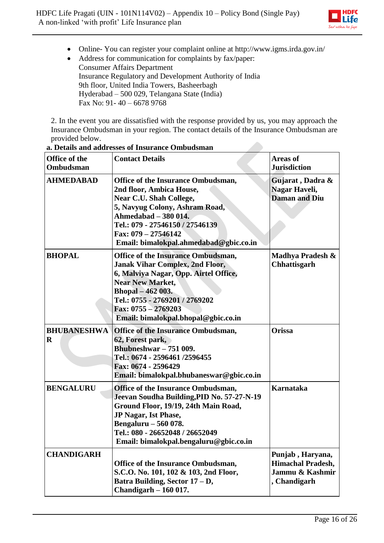

Online- You can register your complaint online at http://www.igms.irda.gov.in/

 Address for communication for complaints by fax/paper: Consumer Affairs Department Insurance Regulatory and Development Authority of India 9th floor, United India Towers, Basheerbagh Hyderabad – 500 029, Telangana State (India) Fax No: 91- 40 – 6678 9768

2. In the event you are dissatisfied with the response provided by us, you may approach the Insurance Ombudsman in your region. The contact details of the Insurance Ombudsman are provided below.

| Office of the<br>Ombudsman     | <b>Contact Details</b>                                                                                                                                                                                                                                                       | <b>Areas of</b><br><b>Jurisdiction</b>                                          |
|--------------------------------|------------------------------------------------------------------------------------------------------------------------------------------------------------------------------------------------------------------------------------------------------------------------------|---------------------------------------------------------------------------------|
| <b>AHMEDABAD</b>               | <b>Office of the Insurance Ombudsman,</b><br>2nd floor, Ambica House,<br>Near C.U. Shah College,<br>5, Navyug Colony, Ashram Road,<br>Ahmedabad – 380 014.<br>Tel.: 079 - 27546150 / 27546139<br>Fax: 079 - 27546142<br>Email: bimalokpal.ahmedabad@gbic.co.in               | Gujarat, Dadra &<br>Nagar Haveli,<br><b>Daman and Diu</b>                       |
| <b>BHOPAL</b>                  | <b>Office of the Insurance Ombudsman,</b><br><b>Janak Vihar Complex, 2nd Floor,</b><br>6, Malviya Nagar, Opp. Airtel Office,<br><b>Near New Market,</b><br>Bhopal – 462 003.<br>Tel.: 0755 - 2769201 / 2769202<br>Fax: 0755 - 2769203<br>Email: bimalokpal.bhopal@gbic.co.in | Madhya Pradesh &<br><b>Chhattisgarh</b>                                         |
| <b>BHUBANESHWA</b><br>$\bf{R}$ | Office of the Insurance Ombudsman,<br>62, Forest park,<br>Bhubneshwar - 751 009.<br>Tel.: 0674 - 2596461/2596455<br>Fax: 0674 - 2596429<br>Email: bimalokpal.bhubaneswar@gbic.co.in                                                                                          | Orissa                                                                          |
| <b>BENGALURU</b>               | <b>Office of the Insurance Ombudsman,</b><br>Jeevan Soudha Building, PID No. 57-27-N-19<br>Ground Floor, 19/19, 24th Main Road,<br><b>JP Nagar, Ist Phase,</b><br>Bengaluru - 560 078.<br>Tel.: 080 - 26652048 / 26652049<br>Email: bimalokpal.bengaluru@gbic.co.in          | <b>Karnataka</b>                                                                |
| <b>CHANDIGARH</b>              | <b>Office of the Insurance Ombudsman,</b><br>S.C.O. No. 101, 102 & 103, 2nd Floor,<br>Batra Building, Sector 17 - D,<br>Chandigarh $-160017$ .                                                                                                                               | Punjab, Haryana,<br><b>Himachal Pradesh,</b><br>Jammu & Kashmir<br>, Chandigarh |

#### **a. Details and addresses of Insurance Ombudsman**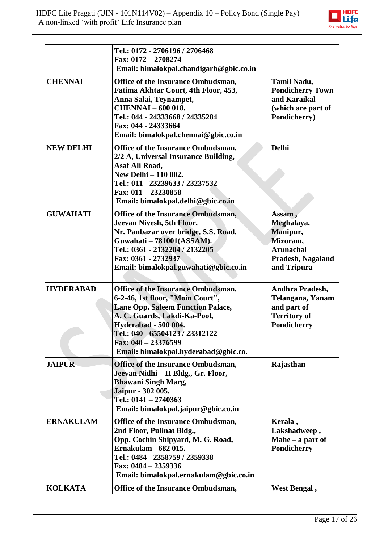

|                  | Tel.: 0172 - 2706196 / 2706468<br>Fax: 0172 - 2708274<br>Email: bimalokpal.chandigarh@gbic.co.in                                                                                                                                                                                             |                                                                                                             |
|------------------|----------------------------------------------------------------------------------------------------------------------------------------------------------------------------------------------------------------------------------------------------------------------------------------------|-------------------------------------------------------------------------------------------------------------|
| <b>CHENNAI</b>   | Office of the Insurance Ombudsman,<br>Fatima Akhtar Court, 4th Floor, 453,<br>Anna Salai, Teynampet,<br><b>CHENNAI - 600 018.</b><br>Tel.: 044 - 24333668 / 24335284<br>Fax: 044 - 24333664<br>Email: bimalokpal.chennai@gbic.co.in                                                          | <b>Tamil Nadu,</b><br><b>Pondicherry Town</b><br>and Karaikal<br>(which are part of<br>Pondicherry)         |
| <b>NEW DELHI</b> | Office of the Insurance Ombudsman,<br>2/2 A, Universal Insurance Building,<br>Asaf Ali Road,<br>New Delhi - 110 002.<br>Tel.: 011 - 23239633 / 23237532<br>Fax: $011 - 23230858$<br>Email: bimalokpal.delhi@gbic.co.in                                                                       | <b>Delhi</b>                                                                                                |
| <b>GUWAHATI</b>  | <b>Office of the Insurance Ombudsman,</b><br>Jeevan Nivesh, 5th Floor,<br>Nr. Panbazar over bridge, S.S. Road,<br>Guwahati - 781001(ASSAM).<br>Tel.: 0361 - 2132204 / 2132205<br>Fax: 0361 - 2732937<br>Email: bimalokpal.guwahati@gbic.co.in                                                | Assam,<br>Meghalaya,<br>Manipur,<br>Mizoram,<br><b>Arunachal</b><br><b>Pradesh, Nagaland</b><br>and Tripura |
| <b>HYDERABAD</b> | <b>Office of the Insurance Ombudsman,</b><br>6-2-46, 1st floor, "Moin Court",<br><b>Lane Opp. Saleem Function Palace,</b><br>A. C. Guards, Lakdi-Ka-Pool,<br><b>Hyderabad - 500 004.</b><br>Tel.: 040 - 65504123 / 23312122<br>Fax: $040 - 23376599$<br>Email: bimalokpal.hyderabad@gbic.co. | Andhra Pradesh,<br><b>Telangana, Yanam</b><br>and part of<br><b>Territory of</b><br><b>Pondicherry</b>      |
| <b>JAIPUR</b>    | <b>Office of the Insurance Ombudsman,</b><br>Jeevan Nidhi – II Bldg., Gr. Floor,<br><b>Bhawani Singh Marg,</b><br>Jaipur - 302 005.<br>Tel.: $0141 - 2740363$<br>Email: bimalokpal.jaipur@gbic.co.in                                                                                         | Rajasthan                                                                                                   |
| <b>ERNAKULAM</b> | <b>Office of the Insurance Ombudsman,</b><br>2nd Floor, Pulinat Bldg.,<br>Opp. Cochin Shipyard, M. G. Road,<br><b>Ernakulam - 682 015.</b><br>Tel.: 0484 - 2358759 / 2359338<br>Fax: 0484 - 2359336<br>Email: bimalokpal.ernakulam@gbic.co.in                                                | Kerala,<br>Lakshadweep,<br>Mahe $-$ a part of<br>Pondicherry                                                |
| <b>KOLKATA</b>   | Office of the Insurance Ombudsman,                                                                                                                                                                                                                                                           | West Bengal,                                                                                                |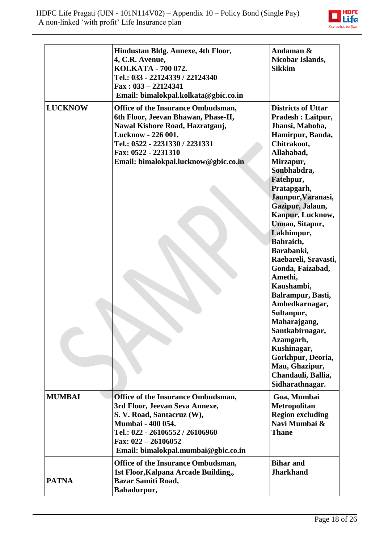

|                | Hindustan Bldg. Annexe, 4th Floor,<br>4, C.R. Avenue,<br>KOLKATA - 700 072.<br>Tel.: 033 - 22124339 / 22124340<br>$Fax: 033 - 22124341$<br>Email: bimalokpal.kolkata@gbic.co.in                                                     | Andaman &<br>Nicobar Islands,<br><b>Sikkim</b>                                                                                                                                                                                                                                                                                                                                                                                                                                                                                                                                        |
|----------------|-------------------------------------------------------------------------------------------------------------------------------------------------------------------------------------------------------------------------------------|---------------------------------------------------------------------------------------------------------------------------------------------------------------------------------------------------------------------------------------------------------------------------------------------------------------------------------------------------------------------------------------------------------------------------------------------------------------------------------------------------------------------------------------------------------------------------------------|
| <b>LUCKNOW</b> | Office of the Insurance Ombudsman,<br>6th Floor, Jeevan Bhawan, Phase-II,<br>Nawal Kishore Road, Hazratganj,<br>Lucknow - 226 001.<br>Tel.: 0522 - 2231330 / 2231331<br>Fax: 0522 - 2231310<br>Email: bimalokpal.lucknow@gbic.co.in | <b>Districts of Uttar</b><br><b>Pradesh : Laitpur,</b><br>Jhansi, Mahoba,<br>Hamirpur, Banda,<br>Chitrakoot,<br>Allahabad,<br>Mirzapur,<br>Sonbhabdra,<br>Fatehpur,<br>Pratapgarh,<br>Jaunpur, Varanasi,<br>Gazipur, Jalaun,<br>Kanpur, Lucknow,<br>Unnao, Sitapur,<br>Lakhimpur,<br>Bahraich,<br>Barabanki,<br>Raebareli, Sravasti,<br>Gonda, Faizabad,<br>Amethi,<br>Kaushambi,<br>Balrampur, Basti,<br>Ambedkarnagar,<br>Sultanpur,<br>Maharajgang,<br>Santkabirnagar,<br>Azamgarh,<br>Kushinagar,<br>Gorkhpur, Deoria,<br>Mau, Ghazipur,<br>Chandauli, Ballia,<br>Sidharathnagar. |
| <b>MUMBAI</b>  | Office of the Insurance Ombudsman,<br>3rd Floor, Jeevan Seva Annexe,<br>S. V. Road, Santacruz (W),<br>Mumbai - 400 054.<br>Tel.: 022 - 26106552 / 26106960<br>Fax: $022 - 26106052$<br>Email: bimalokpal.mumbai@gbic.co.in          | Goa, Mumbai<br><b>Metropolitan</b><br><b>Region excluding</b><br>Navi Mumbai &<br><b>Thane</b>                                                                                                                                                                                                                                                                                                                                                                                                                                                                                        |
| <b>PATNA</b>   | Office of the Insurance Ombudsman,<br>1st Floor, Kalpana Arcade Building,,<br><b>Bazar Samiti Road,</b><br>Bahadurpur,                                                                                                              | <b>Bihar and</b><br><b>Jharkhand</b>                                                                                                                                                                                                                                                                                                                                                                                                                                                                                                                                                  |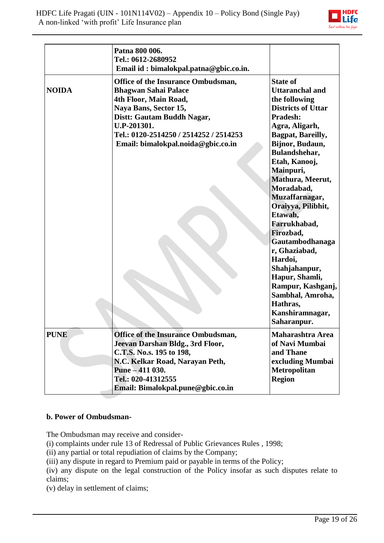

|              | Patna 800 006.<br>Tel.: 0612-2680952<br>Email id: bimalokpal.patna@gbic.co.in.                                                                                                                                                                          |                                                                                                                                                                                                                                                                                                                                                                                                                                                                                                         |
|--------------|---------------------------------------------------------------------------------------------------------------------------------------------------------------------------------------------------------------------------------------------------------|---------------------------------------------------------------------------------------------------------------------------------------------------------------------------------------------------------------------------------------------------------------------------------------------------------------------------------------------------------------------------------------------------------------------------------------------------------------------------------------------------------|
| <b>NOIDA</b> | <b>Office of the Insurance Ombudsman,</b><br><b>Bhagwan Sahai Palace</b><br>4th Floor, Main Road,<br>Naya Bans, Sector 15,<br>Distt: Gautam Buddh Nagar,<br>U.P-201301.<br>Tel.: 0120-2514250 / 2514252 / 2514253<br>Email: bimalokpal.noida@gbic.co.in | <b>State of</b><br><b>Uttaranchal and</b><br>the following<br><b>Districts of Uttar</b><br>Pradesh:<br>Agra, Aligarh,<br>Bagpat, Bareilly,<br>Bijnor, Budaun,<br>Bulandshehar,<br>Etah, Kanooj,<br>Mainpuri,<br>Mathura, Meerut,<br>Moradabad,<br>Muzaffarnagar,<br>Oraiyya, Pilibhit,<br>Etawah,<br>Farrukhabad,<br>Firozbad,<br>Gautambodhanaga<br>r, Ghaziabad,<br>Hardoi,<br>Shahjahanpur,<br>Hapur, Shamli,<br>Rampur, Kashganj,<br>Sambhal, Amroha,<br>Hathras,<br>Kanshiramnagar,<br>Saharanpur. |
| <b>PUNE</b>  | <b>Office of the Insurance Ombudsman,</b><br>Jeevan Darshan Bldg., 3rd Floor,<br>C.T.S. No.s. 195 to 198,<br>N.C. Kelkar Road, Narayan Peth,<br>Pune - 411 030.<br>Tel.: 020-41312555<br>Email: Bimalokpal.pune@gbic.co.in                              | <b>Maharashtra Area</b><br>of Navi Mumbai<br>and Thane<br>excluding Mumbai<br><b>Metropolitan</b><br><b>Region</b>                                                                                                                                                                                                                                                                                                                                                                                      |

#### **b. Power of Ombudsman-**

The Ombudsman may receive and consider-

[\(i\)](http://indiankanoon.org/doc/160521836/) complaints under rule 13 of Redressal of Public Grievances Rules , 1998;

[\(ii\)](http://indiankanoon.org/doc/156757242/) any partial or total repudiation of claims by the Company;

[\(iii\)](http://indiankanoon.org/doc/163591613/) any dispute in regard to Premium paid or payable in terms of the Policy;

[\(iv\)](http://indiankanoon.org/doc/31367799/) any dispute on the legal construction of the Policy insofar as such disputes relate to claims;

[\(v\)](http://indiankanoon.org/doc/26463888/) delay in settlement of claims;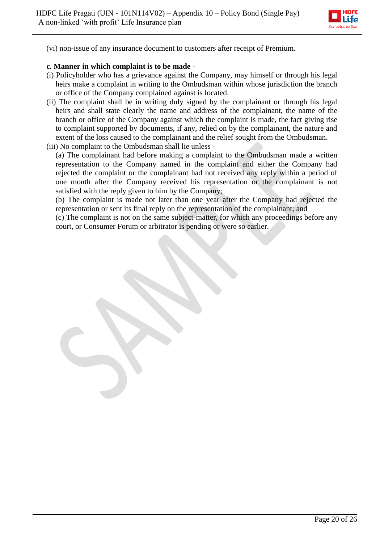

[\(vi\)](http://indiankanoon.org/doc/47238858/) non-issue of any insurance document to customers after receipt of Premium.

#### **c. Manner in which complaint is to be made -**

- [\(i\)](http://indiankanoon.org/doc/160481793/) Policyholder who has a grievance against the Company, may himself or through his legal heirs make a complaint in writing to the Ombudsman within whose jurisdiction the branch or office of the Company complained against is located.
- [\(ii\)](http://indiankanoon.org/doc/116915928/) The complaint shall be in writing duly signed by the complainant or through his legal heirs and shall state clearly the name and address of the complainant, the name of the branch or office of the Company against which the complaint is made, the fact giving rise to complaint supported by documents, if any, relied on by the complainant, the nature and extent of the loss caused to the complainant and the relief sought from the Ombudsman.
- [\(iii\)](http://indiankanoon.org/doc/99464357/) No complaint to the Ombudsman shall lie unless -

[\(a\)](http://indiankanoon.org/doc/87794950/) The complainant had before making a complaint to the Ombudsman made a written representation to the Company named in the complaint and either the Company had rejected the complaint or the complainant had not received any reply within a period of one month after the Company received his representation or the complainant is not satisfied with the reply given to him by the Company;

[\(b\)](http://indiankanoon.org/doc/84880221/) The complaint is made not later than one year after the Company had rejected the representation or sent its final reply on the representation of the complainant; and

[\(c\)](http://indiankanoon.org/doc/116794480/) The complaint is not on the same subject-matter, for which any proceedings before any court, or Consumer Forum or arbitrator is pending or were so earlier.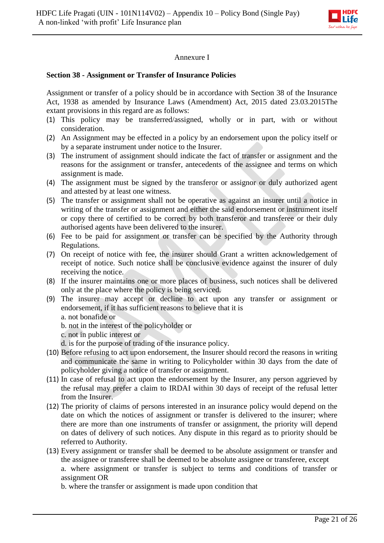

## Annexure I

#### **Section 38 - Assignment or Transfer of Insurance Policies**

Assignment or transfer of a policy should be in accordance with Section 38 of the Insurance Act, 1938 as amended by Insurance Laws (Amendment) Act, 2015 dated 23.03.2015The extant provisions in this regard are as follows:

- (1) This policy may be transferred/assigned, wholly or in part, with or without consideration.
- (2) An Assignment may be effected in a policy by an endorsement upon the policy itself or by a separate instrument under notice to the Insurer.
- (3) The instrument of assignment should indicate the fact of transfer or assignment and the reasons for the assignment or transfer, antecedents of the assignee and terms on which assignment is made.
- (4) The assignment must be signed by the transferor or assignor or duly authorized agent and attested by at least one witness.
- (5) The transfer or assignment shall not be operative as against an insurer until a notice in writing of the transfer or assignment and either the said endorsement or instrument itself or copy there of certified to be correct by both transferor and transferee or their duly authorised agents have been delivered to the insurer.
- (6) Fee to be paid for assignment or transfer can be specified by the Authority through Regulations.
- (7) On receipt of notice with fee, the insurer should Grant a written acknowledgement of receipt of notice. Such notice shall be conclusive evidence against the insurer of duly receiving the notice.
- (8) If the insurer maintains one or more places of business, such notices shall be delivered only at the place where the policy is being serviced.
- (9) The insurer may accept or decline to act upon any transfer or assignment or endorsement, if it has sufficient reasons to believe that it is
	- a. not bonafide or
	- b. not in the interest of the policyholder or
	- c. not in public interest or
	- d. is for the purpose of trading of the insurance policy.
- (10) Before refusing to act upon endorsement, the Insurer should record the reasons in writing and communicate the same in writing to Policyholder within 30 days from the date of policyholder giving a notice of transfer or assignment.
- (11) In case of refusal to act upon the endorsement by the Insurer, any person aggrieved by the refusal may prefer a claim to IRDAI within 30 days of receipt of the refusal letter from the Insurer.
- (12) The priority of claims of persons interested in an insurance policy would depend on the date on which the notices of assignment or transfer is delivered to the insurer; where there are more than one instruments of transfer or assignment, the priority will depend on dates of delivery of such notices. Any dispute in this regard as to priority should be referred to Authority.
- (13) Every assignment or transfer shall be deemed to be absolute assignment or transfer and the assignee or transferee shall be deemed to be absolute assignee or transferee, except a. where assignment or transfer is subject to terms and conditions of transfer or assignment OR

b. where the transfer or assignment is made upon condition that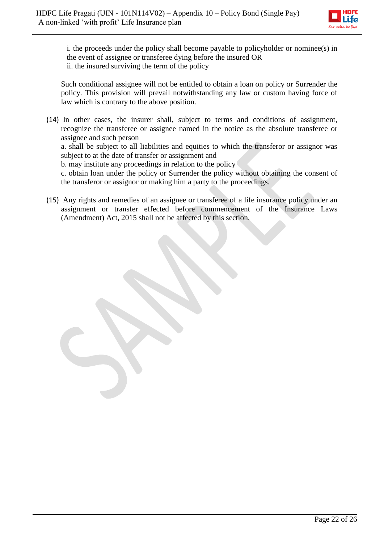

i. the proceeds under the policy shall become payable to policyholder or nominee(s) in the event of assignee or transferee dying before the insured OR ii. the insured surviving the term of the policy

Such conditional assignee will not be entitled to obtain a loan on policy or Surrender the policy. This provision will prevail notwithstanding any law or custom having force of law which is contrary to the above position.

(14) In other cases, the insurer shall, subject to terms and conditions of assignment, recognize the transferee or assignee named in the notice as the absolute transferee or assignee and such person

a. shall be subject to all liabilities and equities to which the transferor or assignor was subject to at the date of transfer or assignment and

b. may institute any proceedings in relation to the policy

c. obtain loan under the policy or Surrender the policy without obtaining the consent of the transferor or assignor or making him a party to the proceedings.

(15) Any rights and remedies of an assignee or transferee of a life insurance policy under an assignment or transfer effected before commencement of the Insurance Laws (Amendment) Act, 2015 shall not be affected by this section.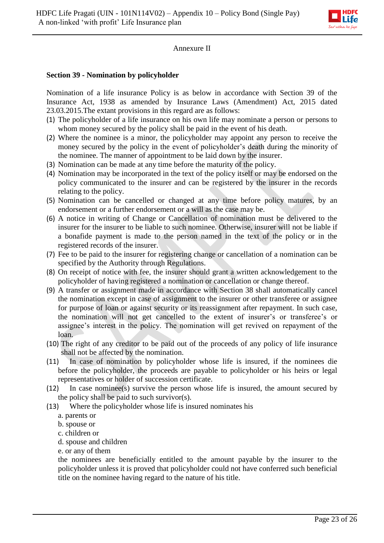

## Annexure II

## **Section 39 - Nomination by policyholder**

Nomination of a life insurance Policy is as below in accordance with Section 39 of the Insurance Act, 1938 as amended by Insurance Laws (Amendment) Act, 2015 dated 23.03.2015.The extant provisions in this regard are as follows:

- (1) The policyholder of a life insurance on his own life may nominate a person or persons to whom money secured by the policy shall be paid in the event of his death.
- (2) Where the nominee is a minor, the policyholder may appoint any person to receive the money secured by the policy in the event of policyholder's death during the minority of the nominee. The manner of appointment to be laid down by the insurer.
- (3) Nomination can be made at any time before the maturity of the policy.
- (4) Nomination may be incorporated in the text of the policy itself or may be endorsed on the policy communicated to the insurer and can be registered by the insurer in the records relating to the policy.
- (5) Nomination can be cancelled or changed at any time before policy matures, by an endorsement or a further endorsement or a will as the case may be.
- (6) A notice in writing of Change or Cancellation of nomination must be delivered to the insurer for the insurer to be liable to such nominee. Otherwise, insurer will not be liable if a bonafide payment is made to the person named in the text of the policy or in the registered records of the insurer.
- (7) Fee to be paid to the insurer for registering change or cancellation of a nomination can be specified by the Authority through Regulations.
- (8) On receipt of notice with fee, the insurer should grant a written acknowledgement to the policyholder of having registered a nomination or cancellation or change thereof.
- (9) A transfer or assignment made in accordance with Section 38 shall automatically cancel the nomination except in case of assignment to the insurer or other transferee or assignee for purpose of loan or against security or its reassignment after repayment. In such case, the nomination will not get cancelled to the extent of insurer's or transferee's or assignee's interest in the policy. The nomination will get revived on repayment of the loan.
- (10) The right of any creditor to be paid out of the proceeds of any policy of life insurance shall not be affected by the nomination.
- (11) In case of nomination by policyholder whose life is insured, if the nominees die before the policyholder, the proceeds are payable to policyholder or his heirs or legal representatives or holder of succession certificate.
- (12) In case nominee(s) survive the person whose life is insured, the amount secured by the policy shall be paid to such survivor(s).
- (13) Where the policyholder whose life is insured nominates his
	- a. parents or
	- b. spouse or
	- c. children or
	- d. spouse and children
	- e. or any of them

the nominees are beneficially entitled to the amount payable by the insurer to the policyholder unless it is proved that policyholder could not have conferred such beneficial title on the nominee having regard to the nature of his title.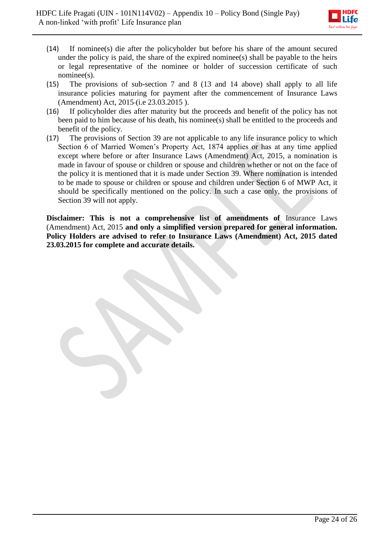

- (14) If nominee(s) die after the policyholder but before his share of the amount secured under the policy is paid, the share of the expired nominee(s) shall be payable to the heirs or legal representative of the nominee or holder of succession certificate of such nominee(s).
- (15) The provisions of sub-section 7 and 8 (13 and 14 above) shall apply to all life insurance policies maturing for payment after the commencement of Insurance Laws (Amendment) Act, 2015 (i.e 23.03.2015 ).
- (16) If policyholder dies after maturity but the proceeds and benefit of the policy has not been paid to him because of his death, his nominee(s) shall be entitled to the proceeds and benefit of the policy.
- (17) The provisions of Section 39 are not applicable to any life insurance policy to which Section 6 of Married Women's Property Act, 1874 applies or has at any time applied except where before or after Insurance Laws (Amendment) Act, 2015, a nomination is made in favour of spouse or children or spouse and children whether or not on the face of the policy it is mentioned that it is made under Section 39. Where nomination is intended to be made to spouse or children or spouse and children under Section 6 of MWP Act, it should be specifically mentioned on the policy. In such a case only, the provisions of Section 39 will not apply.

**Disclaimer: This is not a comprehensive list of amendments of** Insurance Laws (Amendment) Act, 2015 **and only a simplified version prepared for general information. Policy Holders are advised to refer to Insurance Laws (Amendment) Act, 2015 dated 23.03.2015 for complete and accurate details.**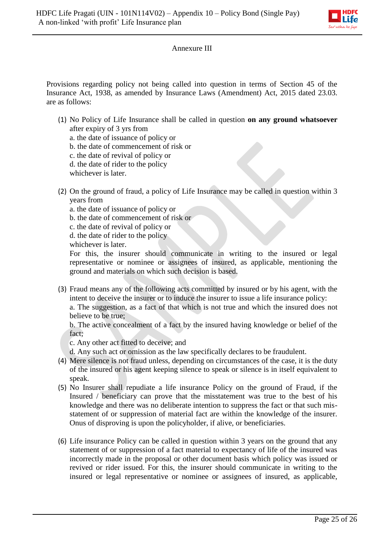

#### Annexure III

Provisions regarding policy not being called into question in terms of Section 45 of the Insurance Act, 1938, as amended by Insurance Laws (Amendment) Act, 2015 dated 23.03. are as follows:

(1) No Policy of Life Insurance shall be called in question **on any ground whatsoever**  after expiry of 3 yrs from

a. the date of issuance of policy or

- b. the date of commencement of risk or
- c. the date of revival of policy or
- d. the date of rider to the policy
- whichever is later.
- (2) On the ground of fraud, a policy of Life Insurance may be called in question within 3 years from
	- a. the date of issuance of policy or
	- b. the date of commencement of risk or
	- c. the date of revival of policy or
	- d. the date of rider to the policy

whichever is later.

For this, the insurer should communicate in writing to the insured or legal representative or nominee or assignees of insured, as applicable, mentioning the ground and materials on which such decision is based.

(3) Fraud means any of the following acts committed by insured or by his agent, with the intent to deceive the insurer or to induce the insurer to issue a life insurance policy:

a. The suggestion, as a fact of that which is not true and which the insured does not believe to be true:

b. The active concealment of a fact by the insured having knowledge or belief of the fact;

c. Any other act fitted to deceive; and

d. Any such act or omission as the law specifically declares to be fraudulent.

- (4) Mere silence is not fraud unless, depending on circumstances of the case, it is the duty of the insured or his agent keeping silence to speak or silence is in itself equivalent to speak.
- (5) No Insurer shall repudiate a life insurance Policy on the ground of Fraud, if the Insured / beneficiary can prove that the misstatement was true to the best of his knowledge and there was no deliberate intention to suppress the fact or that such misstatement of or suppression of material fact are within the knowledge of the insurer. Onus of disproving is upon the policyholder, if alive, or beneficiaries.
- (6) Life insurance Policy can be called in question within 3 years on the ground that any statement of or suppression of a fact material to expectancy of life of the insured was incorrectly made in the proposal or other document basis which policy was issued or revived or rider issued. For this, the insurer should communicate in writing to the insured or legal representative or nominee or assignees of insured, as applicable,